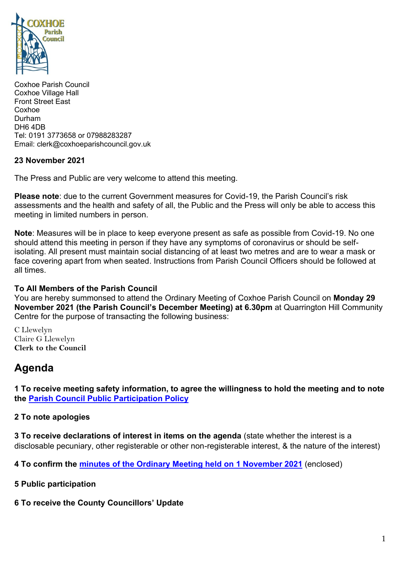

Coxhoe Parish Council Coxhoe Village Hall Front Street East Coxhoe Durham DH6 4DB Tel: 0191 3773658 or 07988283287 Email: clerk@coxhoeparishcouncil.gov.uk

#### **23 November 2021**

The Press and Public are very welcome to attend this meeting.

**Please note**: due to the current Government measures for Covid-19, the Parish Council's risk assessments and the health and safety of all, the Public and the Press will only be able to access this meeting in limited numbers in person.

**Note**: Measures will be in place to keep everyone present as safe as possible from Covid-19. No one should attend this meeting in person if they have any symptoms of coronavirus or should be selfisolating. All present must maintain social distancing of at least two metres and are to wear a mask or face covering apart from when seated. Instructions from Parish Council Officers should be followed at all times.

#### **To All Members of the Parish Council**

You are hereby summonsed to attend the Ordinary Meeting of Coxhoe Parish Council on **Monday 29 November 2021 (the Parish Council's December Meeting) at 6.30pm** at Quarrington Hill Community Centre for the purpose of transacting the following business:

C Llewelyn Claire G Llewelyn **Clerk to the Council** 

# **Agenda**

**1 To receive meeting safety information, to agree the willingness to hold the meeting and to note the [Parish Council Public Participation](http://coxhoeparishcouncil.gov.uk/important-documents-and-policies/public-participation-policy-fmarch-2020-review-date-march-2022/) Policy**

### **2 To note apologies**

**3 To receive declarations of interest in items on the agenda** (state whether the interest is a disclosable pecuniary, other registerable or other non-registerable interest, & the nature of the interest)

**4 To confirm the [minutes of the Ordinary Meeting held on 1](https://1drv.ms/b/s!Alg_TKmu7xwUgdIREdpDbDVDZ1Yobg?e=vCJyzT) November 2021** (enclosed)

**5 Public participation**

**6 To receive the County Councillors' Update**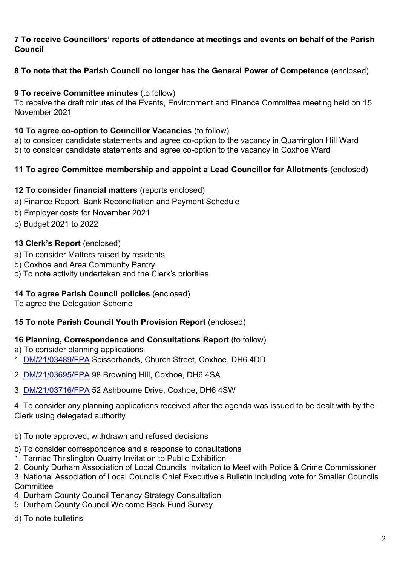## **7 To receive Councillors' reports of attendance at meetings and events on behalf of the Parish Council**

# **8 To note that the Parish Council no longer has the General Power of Competence** (enclosed)

# **9 To receive Committee minutes** (to follow)

To receive the draft minutes of the Events, Environment and Finance Committee meeting held on 15 November 2021

## **10 To agree co-option to Councillor Vacancies** (to follow)

a) to consider candidate statements and agree co-option to the vacancy in Quarrington Hill Ward b) to consider candidate statements and agree co-option to the vacancy in Coxhoe Ward

# **11 To agree Committee membership and appoint a Lead Councillor for Allotments** (enclosed)

## **12 To consider financial matters** (reports enclosed)

- a) Finance Report, Bank Reconciliation and Payment Schedule
- b) Employer costs for November 2021
- c) Budget 2021 to 2022

# **13 Clerk's Report** (enclosed)

- a) To consider Matters raised by residents
- b) Coxhoe and Area Community Pantry
- c) To note activity undertaken and the Clerk's priorities

# **14 To agree Parish Council policies** (enclosed)

To agree the Delegation Scheme

# **15 To note Parish Council Youth Provision Report** (enclosed)

# **16 Planning, Correspondence and Consultations Report** (to follow)

- a) To consider planning applications
- 1. [DM/21/03489/FPA](https://publicaccess.durham.gov.uk/online-applications/applicationDetails.do?activeTab=documents&keyVal=R0LGQIGDIP900) Scissorhands, Church Street, Coxhoe, DH6 4DD
- 2. [DM/21/03695/FPA](https://publicaccess.durham.gov.uk/online-applications/applicationDetails.do?activeTab=documents&keyVal=R1JF0HGDJ0H00) 98 Browning Hill, Coxhoe, DH6 4SA
- 3. [DM/21/03716/FPA](https://publicaccess.durham.gov.uk/online-applications/applicationDetails.do?activeTab=documents&keyVal=R1MI33GDJ1U00) 52 Ashbourne Drive, Coxhoe, DH6 4SW

4. To consider any planning applications received after the agenda was issued to be dealt with by the Clerk using delegated authority

- b) To note approved, withdrawn and refused decisions
- c) To consider correspondence and a response to consultations
- 1. Tarmac Thrislington Quarry Invitation to Public Exhibition
- 2. County Durham Association of Local Councils Invitation to Meet with Police & Crime Commissioner

3. National Association of Local Councils Chief Executive's Bulletin including vote for Smaller Councils **Committee** 

- 4. Durham County Council Tenancy Strategy Consultation
- 5. Durham County Council Welcome Back Fund Survey
- d) To note bulletins